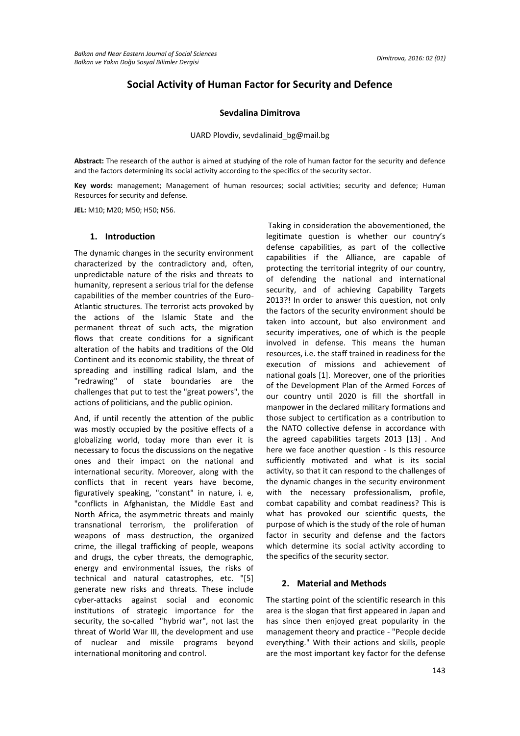# **Social Activity of Human Factor for Security and Defence**

## **Sevdalina Dimitrova**

### UARD Plovdiv, sevdalinaid\_bg@mail.bg

**Abstract:** The research of the author is aimed at studying of the role of human factor for the security and defence and the factors determining its social activity according to the specifics of the security sector.

**Key words:** management; Management of human resources; social activities; security and defence; Human Resources for security and defense.

**JEL:** M10; M20; M50; H50; N56.

#### **1. Introduction**

The dynamic changes in the security environment characterized by the contradictory and, often, unpredictable nature of the risks and threats to humanity, represent a serious trial for the defense capabilities of the member countries of the Euro-Atlantic structures. The terrorist acts provoked by the actions of the Islamic State and the permanent threat of such acts, the migration flows that create conditions for a significant alteration of the habits and traditions of the Old Continent and its economic stability, the threat of spreading and instilling radical Islam, and the "redrawing" of state boundaries are the challenges that put to test the "great powers", the actions of politicians, and the public opinion.

And, if until recently the attention of the public was mostly occupied by the positive effects of a globalizing world, today more than ever it is necessary to focus the discussions on the negative ones and their impact on the national and international security. Moreover, along with the conflicts that in recent years have become, figuratively speaking, "constant" in nature, i. e, "conflicts in Afghanistan, the Middle East and North Africa, the asymmetric threats and mainly transnational terrorism, the proliferation of weapons of mass destruction, the organized crime, the illegal trafficking of people, weapons and drugs, the cyber threats, the demographic, energy and environmental issues, the risks of technical and natural catastrophes, etc. "[5] generate new risks and threats. These include cyber-attacks against social and economic institutions of strategic importance for the security, the so-called "hybrid war", not last the threat of World War III, the development and use of nuclear and missile programs beyond international monitoring and control.

Taking in consideration the abovementioned, the legitimate question is whether our country's defense capabilities, as part of the collective capabilities if the Alliance, are capable of protecting the territorial integrity of our country, of defending the national and international security, and of achieving Capability Targets 2013?! In order to answer this question, not only the factors of the security environment should be taken into account, but also environment and security imperatives, one of which is the people involved in defense. This means the human resources, i.e. the staff trained in readiness for the execution of missions and achievement of national goals [1]. Moreover, one of the priorities of the Development Plan of the Armed Forces of our country until 2020 is fill the shortfall in manpower in the declared military formations and those subject to certification as a contribution to the NATO collective defense in accordance with the agreed capabilities targets 2013 [13] . And here we face another question - Is this resource sufficiently motivated and what is its social activity, so that it can respond to the challenges of the dynamic changes in the security environment with the necessary professionalism, profile, combat capability and combat readiness? This is what has provoked our scientific quests, the purpose of which is the study of the role of human factor in security and defense and the factors which determine its social activity according to the specifics of the security sector.

## **2. Material and Methods**

The starting point of the scientific research in this area is the slogan that first appeared in Japan and has since then enjoyed great popularity in the management theory and practice - "People decide everything." With their actions and skills, people are the most important key factor for the defense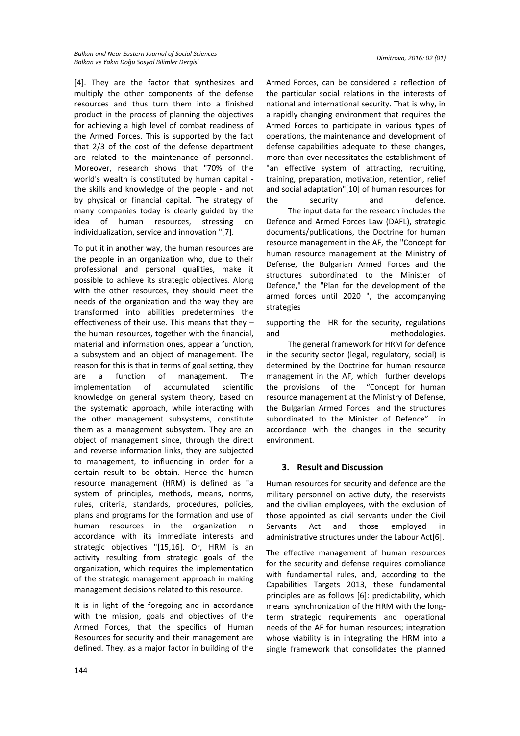[4]. They are the factor that synthesizes and multiply the other components of the defense resources and thus turn them into a finished product in the process of planning the objectives for achieving a high level of combat readiness of the Armed Forces. This is supported by the fact that 2/3 of the cost of the defense department are related to the maintenance of personnel. Moreover, research shows that "70% of the world's wealth is constituted by human capital the skills and knowledge of the people - and not by physical or financial capital. The strategy of many companies today is clearly guided by the idea of human resources, stressing on individualization, service and innovation "[7].

To put it in another way, the human resources are the people in an organization who, due to their professional and personal qualities, make it possible to achieve its strategic objectives. Along with the other resources, they should meet the needs of the organization and the way they are transformed into abilities predetermines the effectiveness of their use. This means that they – the human resources, together with the financial, material and information ones, appear a function, a subsystem and an object of management. The reason for this is that in terms of goal setting, they are a function of management. The implementation of accumulated scientific knowledge on general system theory, based on the systematic approach, while interacting with the other management subsystems, constitute them as a management subsystem. They are an object of management since, through the direct and reverse information links, they are subjected to management, to influencing in order for a certain result to be obtain. Hence the human resource management (HRM) is defined as "a system of principles, methods, means, norms, rules, criteria, standards, procedures, policies, plans and programs for the formation and use of human resources in the organization in accordance with its immediate interests and strategic objectives "[15,16]. Or, HRM is an activity resulting from strategic goals of the organization, which requires the implementation of the strategic management approach in making management decisions related to this resource.

It is in light of the foregoing and in accordance with the mission, goals and objectives of the Armed Forces, that the specifics of Human Resources for security and their management are defined. They, as a major factor in building of the Armed Forces, can be considered a reflection of the particular social relations in the interests of national and international security. That is why, in a rapidly changing environment that requires the Armed Forces to participate in various types of operations, the maintenance and development of defense capabilities adequate to these changes, more than ever necessitates the establishment of "an effective system of attracting, recruiting, training, preparation, motivation, retention, relief and social adaptation"[10] of human resources for the security and defence.

 The input data for the research includes the Defence and Armed Forces Law (DAFL), strategic documents/publications, the Doctrine for human resource management in the AF, the "Concept for human resource management at the Ministry of Defense, the Bulgarian Armed Forces and the structures subordinated to the Minister of Defence," the "Plan for the development of the armed forces until 2020 ", the accompanying strategies

supporting the HR for the security, regulations and methodologies.

 The general framework for HRM for defence in the security sector (legal, regulatory, social) is determined by the Doctrine for human resource management in the AF, which further develops the provisions of the "Concept for human resource management at the Ministry of Defense, the Bulgarian Armed Forces and the structures subordinated to the Minister of Defence" in accordance with the changes in the security environment.

# **3. Result and Discussion**

Human resources for security and defence are the military personnel on active duty, the reservists and the civilian employees, with the exclusion of those appointed as civil servants under the Civil Servants Act and those employed in administrative structures under the Labour Act[6].

The effective management of human resources for the security and defense requires compliance with fundamental rules, and, according to the Capabilities Targets 2013, these fundamental principles are as follows [6]: predictability, which means synchronization of the HRM with the longterm strategic requirements and operational needs of the AF for human resources; integration whose viability is in integrating the HRM into a single framework that consolidates the planned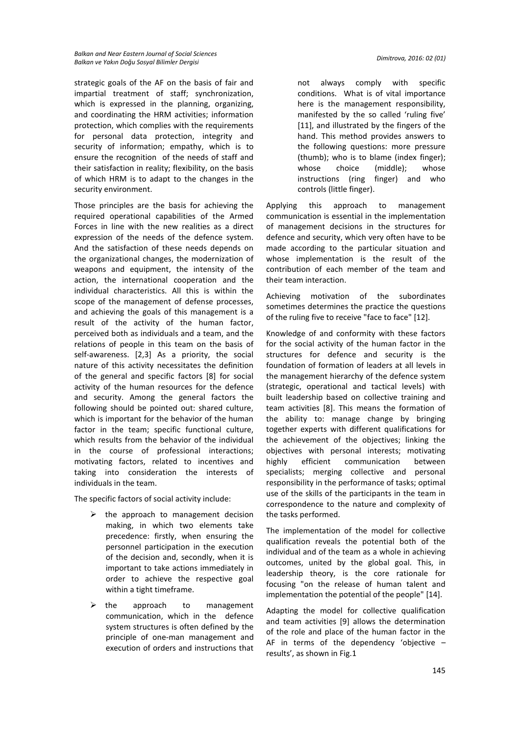strategic goals of the AF on the basis of fair and impartial treatment of staff; synchronization, which is expressed in the planning, organizing, and coordinating the HRM activities; information protection, which complies with the requirements for personal data protection, integrity and security of information; empathy, which is to ensure the recognition of the needs of staff and their satisfaction in reality; flexibility, on the basis of which HRM is to adapt to the changes in the security environment.

Those principles are the basis for achieving the required operational capabilities of the Armed Forces in line with the new realities as a direct expression of the needs of the defence system. And the satisfaction of these needs depends on the organizational changes, the modernization of weapons and equipment, the intensity of the action, the international cooperation and the individual characteristics. All this is within the scope of the management of defense processes, and achieving the goals of this management is a result of the activity of the human factor, perceived both as individuals and а team, and the relations of people in this team on the basis of self-awareness. [2,3] As a priority, the social nature of this activity necessitates the definition of the general and specific factors [8] for social activity of the human resources for the defence and security. Among the general factors the following should be pointed out: shared culture, which is important for the behavior of the human factor in the team; specific functional culture, which results from the behavior of the individual in the course of professional interactions; motivating factors, related to incentives and taking into consideration the interests of individuals in the team.

The specific factors of social activity include:

- $\triangleright$  the approach to management decision making, in which two elements take precedence: firstly, when ensuring the personnel participation in the execution of the decision and, secondly, when it is important to take actions immediately in order to achieve the respective goal within a tight timeframe.
- $\triangleright$  the approach to management communication, which in the defence system structures is often defined by the principle of one-man management and execution of orders and instructions that

not always comply with specific conditions. What is of vital importance here is the management responsibility, manifested by the so called 'ruling five' [11], and illustrated by the fingers of the hand. This method provides answers to the following questions: more pressure (thumb); who is to blame (index finger); whose choice (middle); whose instructions (ring finger) and who controls (little finger).

Applying this approach to management communication is essential in the implementation of management decisions in the structures for defence and security, which very often have to be made according to the particular situation and whose implementation is the result of the contribution of each member of the team and their team interaction.

Achieving motivation of the subordinates sometimes determines the practice the questions of the ruling five to receive "face to face" [12].

Knowledge of and conformity with these factors for the social activity of the human factor in the structures for defence and security is the foundation of formation of leaders at all levels in the management hierarchy of the defence system (strategic, operational and tactical levels) with built leadership based on collective training and team activities [8]. This means the formation of the ability to: manage change by bringing together experts with different qualifications for the achievement of the objectives; linking the objectives with personal interests; motivating highly efficient communication between specialists; merging collective and personal responsibility in the performance of tasks; optimal use of the skills of the participants in the team in correspondence to the nature and complexity of the tasks performed.

The implementation of the model for collective qualification reveals the potential both of the individual and of the team as a whole in achieving outcomes, united by the global goal. This, in leadership theory, is the core rationale for focusing "on the release of human talent and implementation the potential of the people" [14].

Adapting the model for collective qualification and team activities [9] allows the determination of the role and place of the human factor in the AF in terms of the dependency 'objective – results', as shown in Fig.1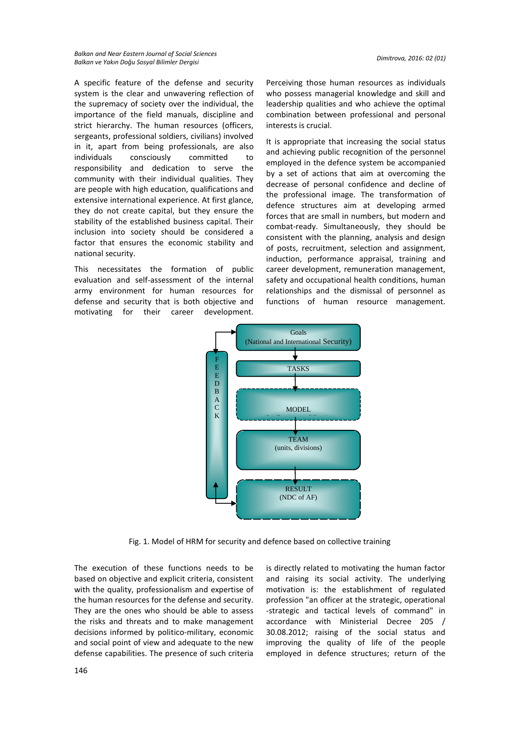A specific feature of the defense and security system is the clear and unwavering reflection of the supremacy of society over the individual, the importance of the field manuals, discipline and strict hierarchy. The human resources (officers, sergeants, professional soldiers, civilians) involved in it, apart from being professionals, are also individuals consciously committed to responsibility and dedication to serve the community with their individual qualities. They are people with high education, qualifications and extensive international experience. At first glance, they do not create capital, but they ensure the stability of the established business capital. Their inclusion into society should be considered a factor that ensures the economic stability and national security.

This necessitates the formation of public evaluation and self-assessment of the internal army environment for human resources for defense and security that is both objective and motivating for their career development.

Perceiving those human resources as individuals who possess managerial knowledge and skill and leadership qualities and who achieve the optimal combination between professional and personal interests is crucial.

It is appropriate that increasing the social status and achieving public recognition of the personnel employed in the defence system be accompanied by a set of actions that aim at overcoming the decrease of personal confidence and decline of the professional image. The transformation of defence structures aim at developing armed forces that are small in numbers, but modern and combat-ready. Simultaneously, they should be consistent with the planning, analysis and design of posts, recruitment, selection and assignment, induction, performance appraisal, training and career development, remuneration management, safety and occupational health conditions, human relationships and the dismissal of personnel as functions of human resource management.



Fig. 1. Model of HRM for security and defence based on collective training

The execution of these functions needs to be based on objective and explicit criteria, consistent with the quality, professionalism and expertise of the human resources for the defense and security. They are the ones who should be able to assess the risks and threats and to make management decisions informed by politico-military, economic and social point of view and adequate to the new defense capabilities. The presence of such criteria

is directly related to motivating the human factor and raising its social activity. The underlying motivation is: the establishment of regulated profession "an officer at the strategic, operational -strategic and tactical levels of command" in accordance with Ministerial Decree 205 / 30.08.2012; raising of the social status and improving the quality of life of the people employed in defence structures; return of the